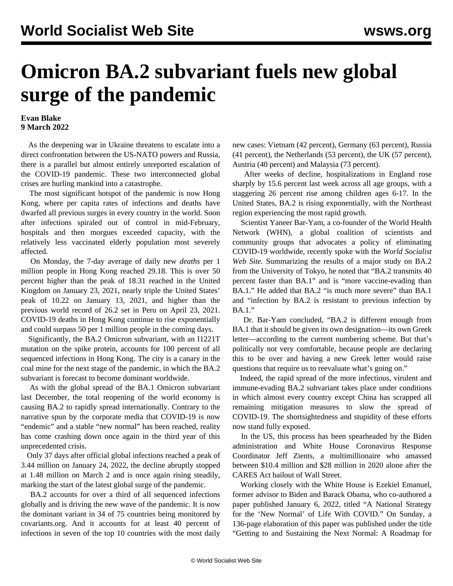## **Omicron BA.2 subvariant fuels new global surge of the pandemic**

## **Evan Blake 9 March 2022**

 As the deepening war in Ukraine threatens to escalate into a direct confrontation between the US-NATO powers and Russia, there is a parallel but almost entirely unreported escalation of the COVID-19 pandemic. These two interconnected global crises are hurling mankind into a catastrophe.

 The most significant hotspot of the pandemic is now Hong Kong, where per capita rates of infections and deaths have dwarfed all previous surges in every country in the world. Soon after infections spiraled out of control in mid-February, hospitals and then morgues exceeded capacity, with the relatively less vaccinated elderly population most severely affected.

 On Monday, the 7-day average of daily new *deaths* per 1 million people in Hong Kong reached 29.18. This is over 50 percent higher than the peak of 18.31 reached in the United Kingdom on January 23, 2021, nearly triple the United States' peak of 10.22 on January 13, 2021, and higher than the previous world record of 26.2 set in Peru on April 23, 2021. COVID-19 deaths in Hong Kong continue to rise exponentially and could surpass 50 per 1 million people in the coming days.

 Significantly, the BA.2 Omicron subvariant, with an I1221T mutation on the spike protein, accounts for 100 percent of all sequenced infections in Hong Kong. The city is a canary in the coal mine for the next stage of the pandemic, in which the BA.2 subvariant is forecast to become dominant worldwide.

 As with the global spread of the BA.1 Omicron subvariant last December, the total reopening of the world economy is causing BA.2 to rapidly spread internationally. Contrary to the narrative spun by the corporate media that COVID-19 is now "endemic" and a stable "new normal" has been reached, reality has come crashing down once again in the third year of this unprecedented crisis.

 Only 37 days after official global infections reached a peak of 3.44 million on January 24, 2022, the decline abruptly stopped at 1.48 million on March 2 and is once again rising steadily, marking the start of the latest global surge of the pandemic.

 BA.2 accounts for over a third of all sequenced infections globally and is driving the new wave of the pandemic. It is now the dominant variant in 34 of 75 countries being monitored by covariants.org. And it accounts for at least 40 percent of infections in seven of the top 10 countries with the most daily new cases: Vietnam (42 percent), Germany (63 percent), Russia (41 percent), the Netherlands (53 percent), the UK (57 percent), Austria (40 percent) and Malaysia (73 percent).

 After weeks of decline, hospitalizations in England rose sharply by 15.6 percent last week across all age groups, with a staggering 26 percent rise among children ages 6-17. In the United States, BA.2 is rising exponentially, with the Northeast region experiencing the most rapid growth.

 Scientist Yaneer Bar-Yam, a co-founder of the World Health Network (WHN), a global coalition of scientists and community groups that advocates a policy of eliminating COVID-19 worldwide, [recently spoke](/en/articles/2022/03/08/fwmz-m08.html) with the *World Socialist Web Site.* Summarizing the results of a major study on BA.2 from the University of Tokyo, he noted that "BA.2 transmits 40 percent faster than BA.1" and is "more vaccine-evading than BA.1." He added that BA.2 "is much more severe" than BA.1 and "infection by BA.2 is resistant to previous infection by BA.1."

 Dr. Bar-Yam concluded, "BA.2 is different enough from BA.1 that it should be given its own designation—its own Greek letter—according to the current numbering scheme. But that's politically not very comfortable, because people are declaring this to be over and having a new Greek letter would raise questions that require us to reevaluate what's going on."

 Indeed, the rapid spread of the more infectious, virulent and immune-evading BA.2 subvariant takes place under conditions in which almost every country except China has scrapped all remaining mitigation measures to slow the spread of COVID-19. The shortsightedness and stupidity of these efforts now stand fully exposed.

 In the US, this process has been spearheaded by the Biden administration and White House Coronavirus Response Coordinator Jeff Zients, a multimillionaire who amassed between \$10.4 million and \$28 million in 2020 alone after the CARES Act bailout of Wall Street.

 Working closely with the White House is Ezekiel Emanuel, former advisor to Biden and Barack Obama, who co-authored a paper published January 6, 2022, titled "A National Strategy for the 'New Normal' of Life With COVID." On Sunday, a 136-page elaboration of this paper was published under the title "Getting to and Sustaining the Next Normal: A Roadmap for